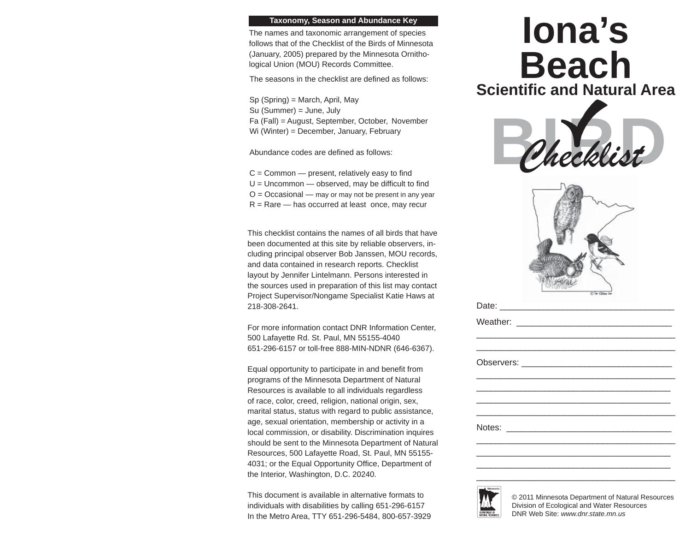## **Taxonomy, Season and Abundance Key**

The names and taxonomic arrangement of species follows that of the Checklist of the Birds of Minnesota (January, 2005) prepared by the Minnesota Ornithological Union (MOU) Records Committee.

The seasons in the checklist are defined as follows:

Sp (Spring) = March, April, May Su (Summer) = June, July Fa (Fall) = August, September, October, November Wi (Winter) = December, January, February

Abundance codes are defined as follows:

 $C =$  Common  $-$  present, relatively easy to find  $U =$  Uncommon  $-$  observed, may be difficult to find  $O = Occasional$  — may or may not be present in any year  $R =$ Rare — has occurred at least once, may recur

This checklist contains the names of all birds that have been documented at this site by reliable observers, including principal observer Bob Janssen, MOU records, and data contained in research reports. Checklist layout by Jennifer Lintelmann. Persons interested in the sources used in preparation of this list may contact Project Supervisor/Nongame Specialist Katie Haws at 218-308-2641.

For more information contact DNR Information Center, 500 Lafayette Rd. St. Paul, MN 55155-4040 651-296-6157 or toll-free 888-MIN-NDNR (646-6367).

Equal opportunity to participate in and benefit from programs of the Minnesota Department of Natural Resources is available to all individuals regardless of race, color, creed, religion, national origin, sex, marital status, status with regard to public assistance, age, sexual orientation, membership or activity in a local commission, or disability. Discrimination inquires should be sent to the Minnesota Department of Natural Resources, 500 Lafayette Road, St. Paul, MN 55155- 4031; or the Equal Opportunity Office, Department of the Interior, Washington, D.C. 20240.

This document is available in alternative formats to individuals with disabilities by calling 651-296-6157 In the Metro Area, TTY 651-296-5484, 800-657-3929

## Phecklist *Checklist* **Iona's BeachScientifi c and Natural Area**



\_\_\_\_\_\_\_\_\_\_\_\_\_\_\_\_\_\_\_\_\_\_\_\_\_\_\_\_\_\_\_\_\_\_\_\_\_\_\_\_



© 2011 Minnesota Department of Natural Resources Division of Ecological and Water Resources DNR Web Site: *www.dnr.state.mn.us*